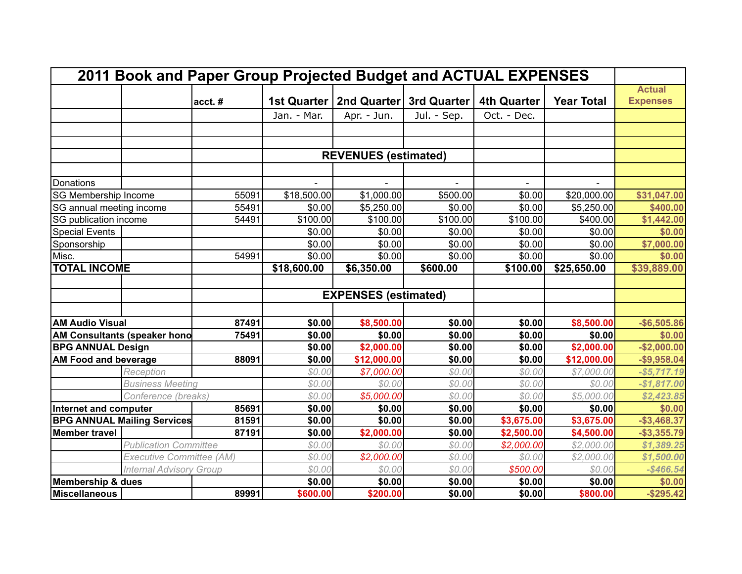| 2011 Book and Paper Group Projected Budget and ACTUAL EXPENSES |                                    |        |                             |                             |                         |                    |                   |                 |
|----------------------------------------------------------------|------------------------------------|--------|-----------------------------|-----------------------------|-------------------------|--------------------|-------------------|-----------------|
|                                                                |                                    |        |                             |                             |                         |                    |                   | <b>Actual</b>   |
|                                                                |                                    | acct.# | 1st Quarter                 |                             | 2nd Quarter 3rd Quarter | <b>4th Quarter</b> | <b>Year Total</b> | <b>Expenses</b> |
|                                                                |                                    |        | Jan. - Mar.                 | Apr. - Jun.                 | Jul. - Sep.             | Oct. - Dec.        |                   |                 |
|                                                                |                                    |        |                             |                             |                         |                    |                   |                 |
|                                                                |                                    |        |                             |                             |                         |                    |                   |                 |
|                                                                |                                    |        | <b>REVENUES (estimated)</b> |                             |                         |                    |                   |                 |
|                                                                |                                    |        |                             |                             |                         |                    |                   |                 |
| Donations                                                      |                                    |        |                             |                             |                         |                    |                   |                 |
| SG Membership Income                                           |                                    | 55091  | \$18,500.00                 | \$1,000.00                  | \$500.00                | \$0.00             | \$20,000.00       | \$31,047.00     |
| SG annual meeting income                                       |                                    | 55491  | \$0.00                      | \$5,250.00                  | \$0.00                  | \$0.00             | \$5,250.00        | \$400.00        |
|                                                                | SG publication income              |        | \$100.00                    | \$100.00                    | \$100.00                | \$100.00           | \$400.00          | \$1,442.00      |
| Special Events                                                 |                                    |        | \$0.00                      | \$0.00                      | \$0.00                  | \$0.00             | \$0.00            | \$0.00          |
| Sponsorship                                                    |                                    |        | \$0.00                      | \$0.00                      | \$0.00                  | \$0.00             | \$0.00            | \$7,000.00      |
| Misc.                                                          |                                    | 54991  | \$0.00                      | \$0.00                      | \$0.00                  | \$0.00             | \$0.00            | \$0.00          |
| <b>TOTAL INCOME</b>                                            |                                    |        | \$18,600.00                 | \$6,350.00                  | \$600.00                | \$100.00           | \$25,650.00       | \$39,889.00     |
|                                                                |                                    |        |                             |                             |                         |                    |                   |                 |
|                                                                |                                    |        |                             | <b>EXPENSES</b> (estimated) |                         |                    |                   |                 |
|                                                                |                                    |        |                             |                             |                         |                    |                   |                 |
| <b>AM Audio Visual</b>                                         |                                    | 87491  | \$0.00                      | \$8,500.00                  | \$0.00                  | \$0.00             | \$8,500.00        | $-$6,505.86$    |
| AM Consultants (speaker hono                                   |                                    | 75491  | \$0.00                      | \$0.00                      | \$0.00                  | \$0.00             | \$0.00            | \$0.00          |
| <b>BPG ANNUAL Design</b>                                       |                                    |        | \$0.00                      | \$2,000.00                  | \$0.00                  | \$0.00             | \$2,000.00        | $-$2,000.00$    |
| <b>AM Food and beverage</b>                                    |                                    | 88091  | \$0.00                      | \$12,000.00                 | \$0.00                  | \$0.00             | \$12,000.00       | $-$ \$9,958.04  |
|                                                                | Reception                          |        | \$0.00                      | \$7,000.00                  | \$0.00                  | \$0.00             | \$7,000.00        | $-$ \$5,717.19  |
|                                                                | <b>Business Meeting</b>            |        | \$0.00                      | \$0.00                      | \$0.00                  | \$0.00             | \$0.00            | $-$1,817.00$    |
|                                                                | Conference (breaks)                |        | \$0.00                      | \$5,000.00                  | \$0.00                  | \$0.00             | \$5,000.00        | \$2,423.85      |
| Internet and computer                                          |                                    | 85691  | \$0.00                      | \$0.00                      | \$0.00                  | \$0.00             | \$0.00            | \$0.00          |
|                                                                | <b>BPG ANNUAL Mailing Services</b> | 81591  | \$0.00                      | \$0.00                      | \$0.00                  | \$3,675.00         | \$3,675.00        | $-$ \$3,468.37  |
| <b>Member travel</b>                                           |                                    | 87191  | \$0.00                      | \$2,000.00                  | \$0.00                  | \$2,500.00         | \$4,500.00        | $-$ \$3,355.79  |
|                                                                | <b>Publication Committee</b>       |        | \$0.00                      | \$0.00                      | \$0.00                  | \$2,000.00         | \$2,000.00        | \$1,389.25      |
| Executive Committee (AM)                                       |                                    |        | \$0.00                      | \$2,000.00                  | \$0.00                  | \$0.00             | \$2,000.00        | \$1,500.00      |
| <b>Internal Advisory Group</b>                                 |                                    |        | \$0.00                      | \$0.00                      | \$0.00                  | \$500.00           | \$0.00            | $-$ \$466.54    |
| Membership & dues                                              |                                    |        | \$0.00                      | \$0.00                      | \$0.00                  | \$0.00             | \$0.00            | \$0.00          |
| Miscellaneous                                                  |                                    | 89991  | \$600.00                    | \$200.00                    | \$0.00                  | \$0.00             | \$800.00          | $-$ \$295.42    |